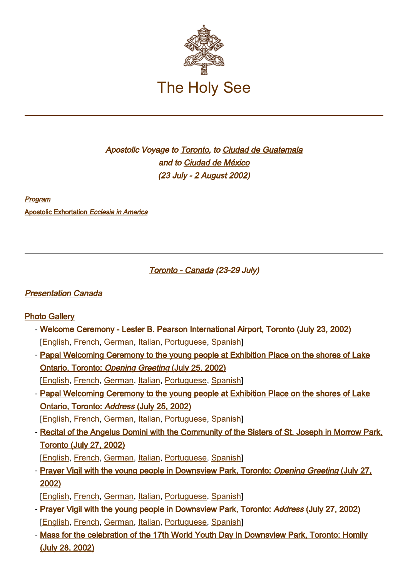

# Apostolic Voyage to [Toronto](#page-0-0), to Ciudad de Guatemala and to [Ciudad](#page-1-0) [de](#page-1-0) [México](#page-1-0) (23 July - 2 August 2002)

[Program](https://www.vatican.va/content/john-paul-ii/en/travels/2002/documents/trav_canada-guatemala-mexico_program_20020716.html)

[Apostolic Exhortation](https://www.vatican.va/content/john-paul-ii/en/apost_exhortations/documents/hf_jp-ii_exh_22011999_ecclesia-in-america.html) Ecclesia in America

<span id="page-0-0"></span>Toronto - Canada (23-29 July)

# [Presentation Canada](http://www.vatican.va/news_services/liturgy/2002/documents/ns_lit_doc_20020709_presentation-canada_en.html)

# [Photo Gallery](http://www.vatican.va/gmg/documents/gmg2002_photogallery_en.html)

- [Welcome Ceremony Lester B. Pearson International Airport, Toronto \(July 23, 2002\)](https://www.vatican.va/content/john-paul-ii/en/speeches/2002/july/documents/hf_jp-ii_spe_20020723_wyd-arrival-toronto.html) [[English,](https://www.vatican.va/content/john-paul-ii/en/speeches/2002/july/documents/hf_jp-ii_spe_20020723_wyd-arrival-toronto.html) [French,](https://www.vatican.va/content/john-paul-ii/fr/speeches/2002/july/documents/hf_jp-ii_spe_20020723_wyd-arrival-toronto.html) [German,](https://www.vatican.va/content/john-paul-ii/de/speeches/2002/july/documents/hf_jp-ii_spe_20020723_wyd-arrival-toronto.html) [Italian,](https://www.vatican.va/content/john-paul-ii/it/speeches/2002/july/documents/hf_jp-ii_spe_20020723_wyd-arrival-toronto.html) [Portuguese,](https://www.vatican.va/content/john-paul-ii/pt/speeches/2002/july/documents/hf_jp-ii_spe_20020723_wyd-arrival-toronto.html) [Spanish\]](https://www.vatican.va/content/john-paul-ii/es/speeches/2002/july/documents/hf_jp-ii_spe_20020723_wyd-arrival-toronto.html)
- [Papal Welcoming Ceremony to the young people at Exhibition Place on the shores of Lake](https://www.vatican.va/content/john-paul-ii/en/speeches/2002/july/documents/hf_jp-ii_spe_20020725_wyd-welcome-toronto.html) [Ontario, Toronto:](https://www.vatican.va/content/john-paul-ii/en/speeches/2002/july/documents/hf_jp-ii_spe_20020725_wyd-welcome-toronto.html) Opening Greeting [\(July 25, 2002\)](https://www.vatican.va/content/john-paul-ii/en/speeches/2002/july/documents/hf_jp-ii_spe_20020725_wyd-welcome-toronto.html)

[[English,](https://www.vatican.va/content/john-paul-ii/en/speeches/2002/july/documents/hf_jp-ii_spe_20020725_wyd-welcome-toronto.html) [French,](https://www.vatican.va/content/john-paul-ii/fr/speeches/2002/july/documents/hf_jp-ii_spe_20020725_wyd-welcome-toronto.html) [German,](https://www.vatican.va/content/john-paul-ii/de/speeches/2002/july/documents/hf_jp-ii_spe_20020725_wyd-welcome-toronto.html) [Italian,](https://www.vatican.va/content/john-paul-ii/it/speeches/2002/july/documents/hf_jp-ii_spe_20020725_wyd-welcome-toronto.html) [Portuguese,](https://www.vatican.va/content/john-paul-ii/pt/speeches/2002/july/documents/hf_jp-ii_spe_20020725_wyd-welcome-toronto.html) [Spanish\]](https://www.vatican.va/content/john-paul-ii/es/speeches/2002/july/documents/hf_jp-ii_spe_20020725_wyd-welcome-toronto.html)

- [Papal Welcoming Ceremony to the young people at Exhibition Place on the shores of Lake](https://www.vatican.va/content/john-paul-ii/en/speeches/2002/july/documents/hf_jp-ii_spe_20020725_wyd-address-youth.html) [Ontario, Toronto:](https://www.vatican.va/content/john-paul-ii/en/speeches/2002/july/documents/hf_jp-ii_spe_20020725_wyd-address-youth.html) Address [\(July 25, 2002\)](https://www.vatican.va/content/john-paul-ii/en/speeches/2002/july/documents/hf_jp-ii_spe_20020725_wyd-address-youth.html)

[[English,](https://www.vatican.va/content/john-paul-ii/en/speeches/2002/july/documents/hf_jp-ii_spe_20020725_wyd-address-youth.html) [French,](https://www.vatican.va/content/john-paul-ii/fr/speeches/2002/july/documents/hf_jp-ii_spe_20020725_wyd-address-youth.html) [German,](https://www.vatican.va/content/john-paul-ii/de/speeches/2002/july/documents/hf_jp-ii_spe_20020725_wyd-address-youth.html) [Italian,](https://www.vatican.va/content/john-paul-ii/it/speeches/2002/july/documents/hf_jp-ii_spe_20020725_wyd-address-youth.html) [Portuguese,](https://www.vatican.va/content/john-paul-ii/pt/speeches/2002/july/documents/hf_jp-ii_spe_20020725_wyd-address-youth.html) [Spanish\]](https://www.vatican.va/content/john-paul-ii/es/speeches/2002/july/documents/hf_jp-ii_spe_20020725_wyd-address-youth.html)

- [Recital of the Angelus Domini with the Community of the Sisters of St. Joseph in Morrow Park,](https://www.vatican.va/content/john-paul-ii/en/angelus/2002/documents/hf_jp-ii_ang_20020727_wyd-sisters-toronto.html) [Toronto \(July 27, 2002\)](https://www.vatican.va/content/john-paul-ii/en/angelus/2002/documents/hf_jp-ii_ang_20020727_wyd-sisters-toronto.html)

[[English,](https://www.vatican.va/content/john-paul-ii/en/angelus/2002/documents/hf_jp-ii_ang_20020727_wyd-sisters-toronto.html) [French,](https://www.vatican.va/content/john-paul-ii/fr/angelus/2002/documents/hf_jp-ii_ang_20020727_wyd-sisters-toronto.html) [German,](https://www.vatican.va/content/john-paul-ii/de/angelus/2002/documents/hf_jp-ii_ang_20020727_wyd-sisters-toronto.html) [Italian,](https://www.vatican.va/content/john-paul-ii/it/angelus/2002/documents/hf_jp-ii_ang_20020727_wyd-sisters-toronto.html) [Portuguese,](https://www.vatican.va/content/john-paul-ii/pt/angelus/2002/documents/hf_jp-ii_ang_20020727_wyd-sisters-toronto.html) [Spanish\]](https://www.vatican.va/content/john-paul-ii/es/angelus/2002/documents/hf_jp-ii_ang_20020727_wyd-sisters-toronto.html)

- [Prayer Vigil with the young people in Downsview Park, Toronto:](https://www.vatican.va/content/john-paul-ii/en/speeches/2002/july/documents/hf_jp-ii_spe_20020727_wyd-vigil-greeting.html) Opening Greeting [\(July 27,](https://www.vatican.va/content/john-paul-ii/en/speeches/2002/july/documents/hf_jp-ii_spe_20020727_wyd-vigil-greeting.html) [2002\)](https://www.vatican.va/content/john-paul-ii/en/speeches/2002/july/documents/hf_jp-ii_spe_20020727_wyd-vigil-greeting.html)

[[English,](https://www.vatican.va/content/john-paul-ii/en/speeches/2002/july/documents/hf_jp-ii_spe_20020727_wyd-vigil-greeting.html) [French,](https://www.vatican.va/content/john-paul-ii/fr/speeches/2002/july/documents/hf_jp-ii_spe_20020727_wyd-vigil-greeting.html) [German,](https://www.vatican.va/content/john-paul-ii/de/speeches/2002/july/documents/hf_jp-ii_spe_20020727_wyd-vigil-greeting.html) [Italian,](https://www.vatican.va/content/john-paul-ii/it/speeches/2002/july/documents/hf_jp-ii_spe_20020727_wyd-vigil-greeting.html) [Portuguese,](https://www.vatican.va/content/john-paul-ii/pt/speeches/2002/july/documents/hf_jp-ii_spe_20020727_wyd-vigil-greeting.html) [Spanish\]](https://www.vatican.va/content/john-paul-ii/es/speeches/2002/july/documents/hf_jp-ii_spe_20020727_wyd-vigil-greeting.html)

- [Prayer Vigil with the young people in Downsview Park, Toronto:](https://www.vatican.va/content/john-paul-ii/en/speeches/2002/july/documents/hf_jp-ii_spe_20020727_wyd-vigil-address.html) Address [\(July 27, 2002\)](https://www.vatican.va/content/john-paul-ii/en/speeches/2002/july/documents/hf_jp-ii_spe_20020727_wyd-vigil-address.html) [[English,](https://www.vatican.va/content/john-paul-ii/en/speeches/2002/july/documents/hf_jp-ii_spe_20020727_wyd-vigil-address.html) [French,](https://www.vatican.va/content/john-paul-ii/fr/speeches/2002/july/documents/hf_jp-ii_spe_20020727_wyd-vigil-address.html) [German,](https://www.vatican.va/content/john-paul-ii/de/speeches/2002/july/documents/hf_jp-ii_spe_20020727_wyd-vigil-address.html) [Italian,](https://www.vatican.va/content/john-paul-ii/it/speeches/2002/july/documents/hf_jp-ii_spe_20020727_wyd-vigil-address.html) [Portuguese,](https://www.vatican.va/content/john-paul-ii/pt/speeches/2002/july/documents/hf_jp-ii_spe_20020727_wyd-vigil-address.html) [Spanish\]](https://www.vatican.va/content/john-paul-ii/es/speeches/2002/july/documents/hf_jp-ii_spe_20020727_wyd-vigil-address.html)
- [Mass for the celebration of the 17th World Youth Day in Downsview Park, Toronto: Homily](https://www.vatican.va/content/john-paul-ii/en/homilies/2002/documents/hf_jp-ii_hom_20020728_xvii-wyd.html) [\(July 28, 2002\)](https://www.vatican.va/content/john-paul-ii/en/homilies/2002/documents/hf_jp-ii_hom_20020728_xvii-wyd.html)